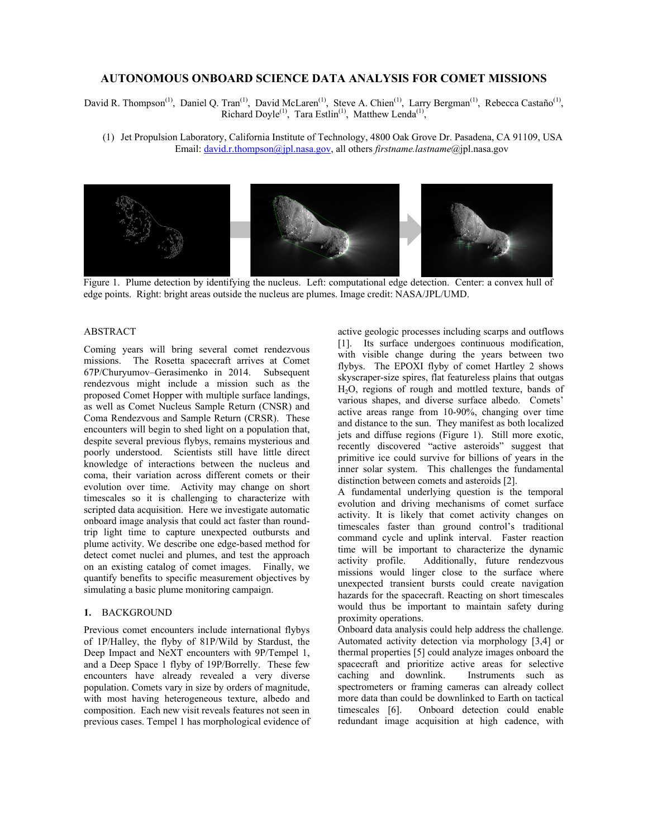# **AUTONOMOUS ONBOARD SCIENCE DATA ANALYSIS FOR COMET MISSIONS**

David R. Thompson<sup>(1)</sup>, Daniel Q. Tran<sup>(1)</sup>, David McLaren<sup>(1)</sup>, Steve A. Chien<sup>(1)</sup>, Larry Bergman<sup>(1)</sup>, Rebecca Castaño<sup>(1)</sup>, Richard Doyle<sup>(1)</sup>, Tara Estlin<sup>(1)</sup>, Matthew Lenda<sup>(1)</sup>,

(1) Jet Propulsion Laboratory, California Institute of Technology, 4800 Oak Grove Dr. Pasadena, CA 91109, USA Email: david.r.thompson@jpl.nasa.gov, all others *firstname.lastname*@jpl.nasa.gov



Figure 1. Plume detection by identifying the nucleus. Left: computational edge detection. Center: a convex hull of edge points. Right: bright areas outside the nucleus are plumes. Image credit: NASA/JPL/UMD.

## ABSTRACT

Coming years will bring several comet rendezvous missions. The Rosetta spacecraft arrives at Comet 67P/Churyumov–Gerasimenko in 2014. Subsequent rendezvous might include a mission such as the proposed Comet Hopper with multiple surface landings, as well as Comet Nucleus Sample Return (CNSR) and Coma Rendezvous and Sample Return (CRSR). These encounters will begin to shed light on a population that, despite several previous flybys, remains mysterious and poorly understood. Scientists still have little direct knowledge of interactions between the nucleus and coma, their variation across different comets or their evolution over time. Activity may change on short timescales so it is challenging to characterize with scripted data acquisition. Here we investigate automatic onboard image analysis that could act faster than roundtrip light time to capture unexpected outbursts and plume activity. We describe one edge-based method for detect comet nuclei and plumes, and test the approach on an existing catalog of comet images. Finally, we quantify benefits to specific measurement objectives by simulating a basic plume monitoring campaign.

### **1.** BACKGROUND

Previous comet encounters include international flybys of 1P/Halley, the flyby of 81P/Wild by Stardust, the Deep Impact and NeXT encounters with 9P/Tempel 1, and a Deep Space 1 flyby of 19P/Borrelly. These few encounters have already revealed a very diverse population. Comets vary in size by orders of magnitude, with most having heterogeneous texture, albedo and composition. Each new visit reveals features not seen in previous cases. Tempel 1 has morphological evidence of active geologic processes including scarps and outflows [1]. Its surface undergoes continuous modification, with visible change during the years between two flybys. The EPOXI flyby of comet Hartley 2 shows skyscraper-size spires, flat featureless plains that outgas H2O, regions of rough and mottled texture, bands of various shapes, and diverse surface albedo. Comets' active areas range from 10-90%, changing over time and distance to the sun. They manifest as both localized jets and diffuse regions (Figure 1). Still more exotic, recently discovered "active asteroids" suggest that primitive ice could survive for billions of years in the inner solar system. This challenges the fundamental distinction between comets and asteroids [2].

A fundamental underlying question is the temporal evolution and driving mechanisms of comet surface activity. It is likely that comet activity changes on timescales faster than ground control's traditional command cycle and uplink interval. Faster reaction time will be important to characterize the dynamic activity profile. Additionally, future rendezvous missions would linger close to the surface where unexpected transient bursts could create navigation hazards for the spacecraft. Reacting on short timescales would thus be important to maintain safety during proximity operations.

Onboard data analysis could help address the challenge. Automated activity detection via morphology [3,4] or thermal properties [5] could analyze images onboard the spacecraft and prioritize active areas for selective caching and downlink. Instruments such as caching and downlink. spectrometers or framing cameras can already collect more data than could be downlinked to Earth on tactical timescales [6]. Onboard detection could enable redundant image acquisition at high cadence, with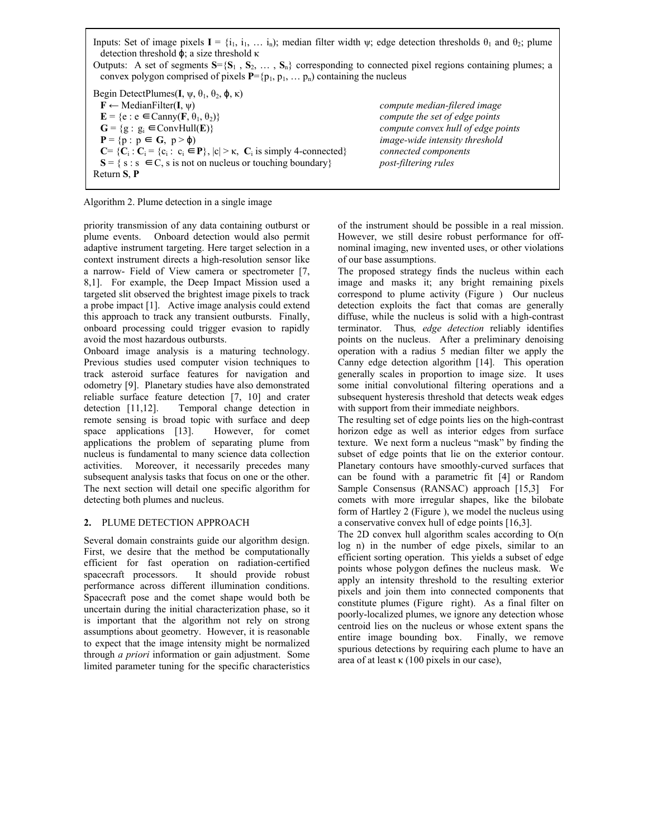Inputs: Set of image pixels  $I = \{i_1, i_1, \dots, i_n\}$ ; median filter width  $\psi$ ; edge detection thresholds  $\theta_1$  and  $\theta_2$ ; plume detection threshold ϕ; a size threshold κ Outputs: A set of segments  $S = \{S_1, S_2, \dots, S_n\}$  corresponding to connected pixel regions containing plumes; a convex polygon comprised of pixels  $P = {p_1, p_1, \ldots p_n}$  containing the nucleus Begin DetectPlumes( $I$ ,  $\psi$ ,  $\theta$ <sub>1</sub>,  $\theta$ <sub>2</sub>,  $\phi$ , κ) **F** ← MedianFilter(**I**, ψ)*compute median-filered image*  $\mathbf{E} = \{e : e \in \text{Canny}(\mathbf{F}, \theta_1, \theta_2)\}$  *compute the set of edge points*  $G = {g : g_i \in ConvHull(E)}$  *compute convex hull of edge points*<br>  $P = {p : p \in G, p > \phi}$  *image-wide intensity threshold*  $\boldsymbol{p}$  image-wide intensity threshold  $C = \{C_i : C_i = \{c_i : c_i \in P\}, |c| > \kappa, C_i \text{ is simply 4-connected} \}$  *connected components*  $S = \{s : s \in C, s \text{ is not on nucleus or touching boundary} \}$  *post-filtering rules*  $S = \{ s : s \in C, s \text{ is not on nucleus or touching boundary} \}$ Return **S**, **P** 

Algorithm 2. Plume detection in a single image

priority transmission of any data containing outburst or plume events. Onboard detection would also permit adaptive instrument targeting. Here target selection in a context instrument directs a high-resolution sensor like a narrow- Field of View camera or spectrometer [7, 8,1]. For example, the Deep Impact Mission used a targeted slit observed the brightest image pixels to track a probe impact [1]. Active image analysis could extend this approach to track any transient outbursts. Finally, onboard processing could trigger evasion to rapidly avoid the most hazardous outbursts.

Onboard image analysis is a maturing technology. Previous studies used computer vision techniques to track asteroid surface features for navigation and odometry [9]. Planetary studies have also demonstrated reliable surface feature detection [7, 10] and crater detection [11,12]. Temporal change detection in remote sensing is broad topic with surface and deep space applications [13]. However, for comet applications the problem of separating plume from nucleus is fundamental to many science data collection activities. Moreover, it necessarily precedes many subsequent analysis tasks that focus on one or the other. The next section will detail one specific algorithm for detecting both plumes and nucleus.

### **2.** PLUME DETECTION APPROACH

Several domain constraints guide our algorithm design. First, we desire that the method be computationally efficient for fast operation on radiation-certified spacecraft processors. It should provide robust performance across different illumination conditions. Spacecraft pose and the comet shape would both be uncertain during the initial characterization phase, so it is important that the algorithm not rely on strong assumptions about geometry. However, it is reasonable to expect that the image intensity might be normalized through *a priori* information or gain adjustment. Some limited parameter tuning for the specific characteristics of the instrument should be possible in a real mission. However, we still desire robust performance for offnominal imaging, new invented uses, or other violations of our base assumptions.

The proposed strategy finds the nucleus within each image and masks it; any bright remaining pixels correspond to plume activity (Figure ) Our nucleus detection exploits the fact that comas are generally diffuse, while the nucleus is solid with a high-contrast terminator. Thus*, edge detection* reliably identifies points on the nucleus. After a preliminary denoising operation with a radius 5 median filter we apply the Canny edge detection algorithm [14]. This operation generally scales in proportion to image size. It uses some initial convolutional filtering operations and a subsequent hysteresis threshold that detects weak edges with support from their immediate neighbors.

The resulting set of edge points lies on the high-contrast horizon edge as well as interior edges from surface texture. We next form a nucleus "mask" by finding the subset of edge points that lie on the exterior contour. Planetary contours have smoothly-curved surfaces that can be found with a parametric fit [4] or Random Sample Consensus (RANSAC) approach [15,3] For comets with more irregular shapes, like the bilobate form of Hartley 2 (Figure ), we model the nucleus using a conservative convex hull of edge points [16,3].

The 2D convex hull algorithm scales according to O(n log n) in the number of edge pixels, similar to an efficient sorting operation. This yields a subset of edge points whose polygon defines the nucleus mask. We apply an intensity threshold to the resulting exterior pixels and join them into connected components that constitute plumes (Figure right). As a final filter on poorly-localized plumes, we ignore any detection whose centroid lies on the nucleus or whose extent spans the entire image bounding box. Finally, we remove spurious detections by requiring each plume to have an area of at least  $\kappa$  (100 pixels in our case),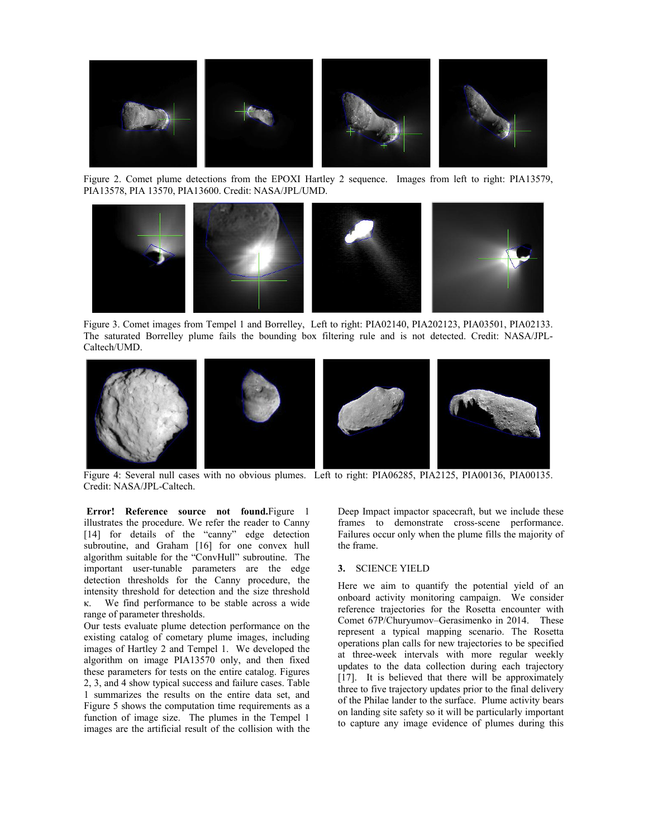

Figure 2. Comet plume detections from the EPOXI Hartley 2 sequence. Images from left to right: PIA13579, PIA13578, PIA 13570, PIA13600. Credit: NASA/JPL/UMD.



Figure 3. Comet images from Tempel 1 and Borrelley, Left to right: PIA02140, PIA202123, PIA03501, PIA02133. The saturated Borrelley plume fails the bounding box filtering rule and is not detected. Credit: NASA/JPL-Caltech/UMD.



 Figure 4: Several null cases with no obvious plumes. Left to right: PIA06285, PIA2125, PIA00136, PIA00135. Credit: NASA/JPL-Caltech.

**Error! Reference source not found.**Figure 1 illustrates the procedure. We refer the reader to Canny [14] for details of the "canny" edge detection subroutine, and Graham [16] for one convex hull algorithm suitable for the "ConvHull" subroutine. The important user-tunable parameters are the edge detection thresholds for the Canny procedure, the intensity threshold for detection and the size threshold κ. We find performance to be stable across a wide range of parameter thresholds.

Our tests evaluate plume detection performance on the existing catalog of cometary plume images, including images of Hartley 2 and Tempel 1. We developed the algorithm on image PIA13570 only, and then fixed these parameters for tests on the entire catalog. Figures 2, 3, and 4 show typical success and failure cases. Table 1 summarizes the results on the entire data set, and Figure 5 shows the computation time requirements as a function of image size. The plumes in the Tempel 1 images are the artificial result of the collision with the Deep Impact impactor spacecraft, but we include these frames to demonstrate cross-scene performance. Failures occur only when the plume fills the majority of the frame.

#### **3.** SCIENCE YIELD

Here we aim to quantify the potential yield of an onboard activity monitoring campaign. We consider reference trajectories for the Rosetta encounter with Comet 67P/Churyumov–Gerasimenko in 2014. These represent a typical mapping scenario. The Rosetta operations plan calls for new trajectories to be specified at three-week intervals with more regular weekly updates to the data collection during each trajectory [17]. It is believed that there will be approximately three to five trajectory updates prior to the final delivery of the Philae lander to the surface. Plume activity bears on landing site safety so it will be particularly important to capture any image evidence of plumes during this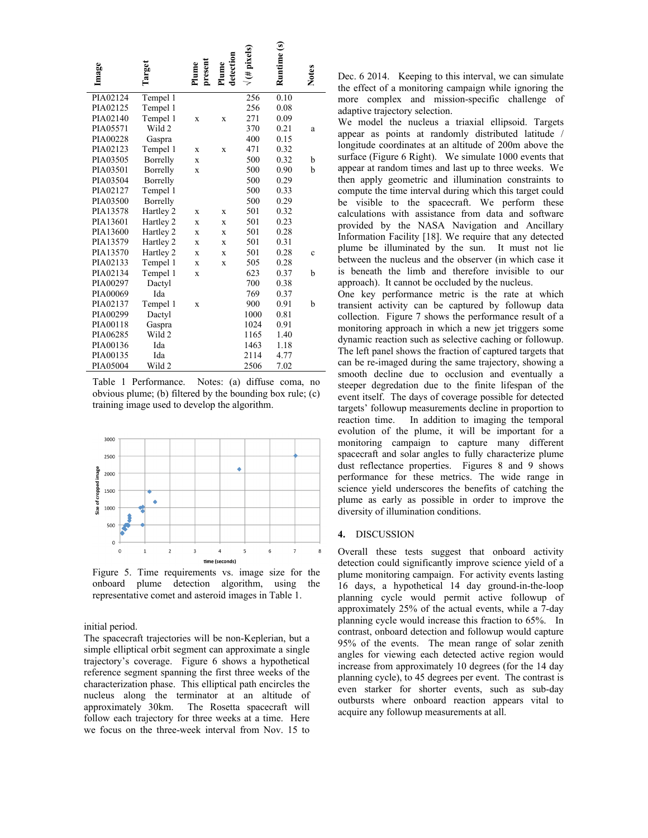| Image    | Target    | present<br>Plume | detection<br>Plume | $#$ pixels) | Runtime (s) | <b>Notes</b> |
|----------|-----------|------------------|--------------------|-------------|-------------|--------------|
| PIA02124 | Tempel 1  |                  |                    | 256         | 0.10        |              |
| PIA02125 | Tempel 1  |                  |                    | 256         | 0.08        |              |
| PIA02140 | Tempel 1  | X                | X                  | 271         | 0.09        |              |
| PIA05571 | Wild 2    |                  |                    | 370         | 0.21        | a            |
| PIA00228 | Gaspra    |                  |                    | 400         | 0.15        |              |
| PIA02123 | Tempel 1  | X                | $\mathbf x$        | 471         | 0.32        |              |
| PIA03505 | Borrelly  | X                |                    | 500         | 0.32        | b            |
| PIA03501 | Borrelly  | X                |                    | 500         | 0.90        | h            |
| PIA03504 | Borrelly  |                  |                    | 500         | 0.29        |              |
| PIA02127 | Tempel 1  |                  |                    | 500         | 0.33        |              |
| PIA03500 | Borrelly  |                  |                    | 500         | 0.29        |              |
| PIA13578 | Hartley 2 | X                | X                  | 501         | 0.32        |              |
| PIA13601 | Hartley 2 | X                | X                  | 501         | 0.23        |              |
| PIA13600 | Hartley 2 | X                | X                  | 501         | 0.28        |              |
| PIA13579 | Hartley 2 | X                | X                  | 501         | 0.31        |              |
| PIA13570 | Hartley 2 | X                | $\mathbf x$        | 501         | 0.28        | Ċ            |
| PIA02133 | Tempel 1  | X                | X                  | 505         | 0.28        |              |
| PIA02134 | Tempel 1  | X                |                    | 623         | 0.37        | b            |
| PIA00297 | Dactyl    |                  |                    | 700         | 0.38        |              |
| PIA00069 | Ida       |                  |                    | 769         | 0.37        |              |
| PIA02137 | Tempel 1  | X                |                    | 900         | 0.91        | h            |
| PIA00299 | Dactyl    |                  |                    | 1000        | 0.81        |              |
| PIA00118 | Gaspra    |                  |                    | 1024        | 0.91        |              |
| PIA06285 | Wild 2    |                  |                    | 1165        | 1.40        |              |
| PIA00136 | Ida       |                  |                    | 1463        | 1.18        |              |
| PIA00135 | Ida       |                  |                    | 2114        | 4.77        |              |
| PIA05004 | Wild 2    |                  |                    | 2506        | 7.02        |              |

Table 1 Performance. Notes: (a) diffuse coma, no obvious plume; (b) filtered by the bounding box rule; (c) training image used to develop the algorithm.



Figure 5. Time requirements vs. image size for the onboard plume detection algorithm, using the representative comet and asteroid images in Table 1.

### initial period.

The spacecraft trajectories will be non-Keplerian, but a simple elliptical orbit segment can approximate a single trajectory's coverage. Figure 6 shows a hypothetical reference segment spanning the first three weeks of the characterization phase. This elliptical path encircles the nucleus along the terminator at an altitude of approximately 30km. The Rosetta spacecraft will follow each trajectory for three weeks at a time. Here we focus on the three-week interval from Nov. 15 to Dec. 6 2014. Keeping to this interval, we can simulate the effect of a monitoring campaign while ignoring the more complex and mission-specific challenge of adaptive trajectory selection.

We model the nucleus a triaxial ellipsoid. Targets appear as points at randomly distributed latitude / longitude coordinates at an altitude of 200m above the surface (Figure 6 Right). We simulate 1000 events that appear at random times and last up to three weeks. We then apply geometric and illumination constraints to compute the time interval during which this target could be visible to the spacecraft. We perform these calculations with assistance from data and software provided by the NASA Navigation and Ancillary Information Facility [18]. We require that any detected plume be illuminated by the sun. It must not lie between the nucleus and the observer (in which case it is beneath the limb and therefore invisible to our approach). It cannot be occluded by the nucleus.

One key performance metric is the rate at which transient activity can be captured by followup data collection. Figure 7 shows the performance result of a monitoring approach in which a new jet triggers some dynamic reaction such as selective caching or followup. The left panel shows the fraction of captured targets that can be re-imaged during the same trajectory, showing a smooth decline due to occlusion and eventually a steeper degredation due to the finite lifespan of the event itself. The days of coverage possible for detected targets' followup measurements decline in proportion to reaction time. In addition to imaging the temporal evolution of the plume, it will be important for a monitoring campaign to capture many different spacecraft and solar angles to fully characterize plume dust reflectance properties. Figures 8 and 9 shows performance for these metrics. The wide range in science yield underscores the benefits of catching the plume as early as possible in order to improve the diversity of illumination conditions.

#### **4.** DISCUSSION

Overall these tests suggest that onboard activity detection could significantly improve science yield of a plume monitoring campaign. For activity events lasting 16 days, a hypothetical 14 day ground-in-the-loop planning cycle would permit active followup of approximately 25% of the actual events, while a 7-day planning cycle would increase this fraction to 65%. In contrast, onboard detection and followup would capture 95% of the events. The mean range of solar zenith angles for viewing each detected active region would increase from approximately 10 degrees (for the 14 day planning cycle), to 45 degrees per event. The contrast is even starker for shorter events, such as sub-day outbursts where onboard reaction appears vital to acquire any followup measurements at all.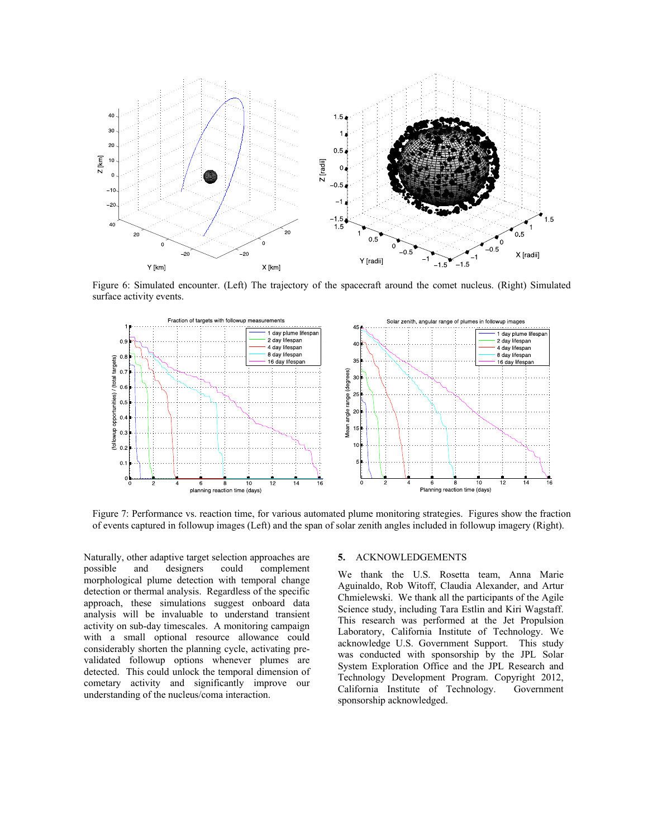

Figure 6: Simulated encounter. (Left) The trajectory of the spacecraft around the comet nucleus. (Right) Simulated surface activity events.



Figure 7: Performance vs. reaction time, for various automated plume monitoring strategies. Figures show the fraction of events captured in followup images (Left) and the span of solar zenith angles included in followup imagery (Right).

Naturally, other adaptive target selection approaches are possible and designers could complement morphological plume detection with temporal change detection or thermal analysis. Regardless of the specific approach, these simulations suggest onboard data analysis will be invaluable to understand transient activity on sub-day timescales. A monitoring campaign with a small optional resource allowance could considerably shorten the planning cycle, activating prevalidated followup options whenever plumes are detected. This could unlock the temporal dimension of cometary activity and significantly improve our understanding of the nucleus/coma interaction.

### **5.** ACKNOWLEDGEMENTS

We thank the U.S. Rosetta team, Anna Marie Aguinaldo, Rob Witoff, Claudia Alexander, and Artur Chmielewski. We thank all the participants of the Agile Science study, including Tara Estlin and Kiri Wagstaff. This research was performed at the Jet Propulsion Laboratory, California Institute of Technology. We acknowledge U.S. Government Support. This study was conducted with sponsorship by the JPL Solar System Exploration Office and the JPL Research and Technology Development Program. Copyright 2012, California Institute of Technology. Government sponsorship acknowledged.